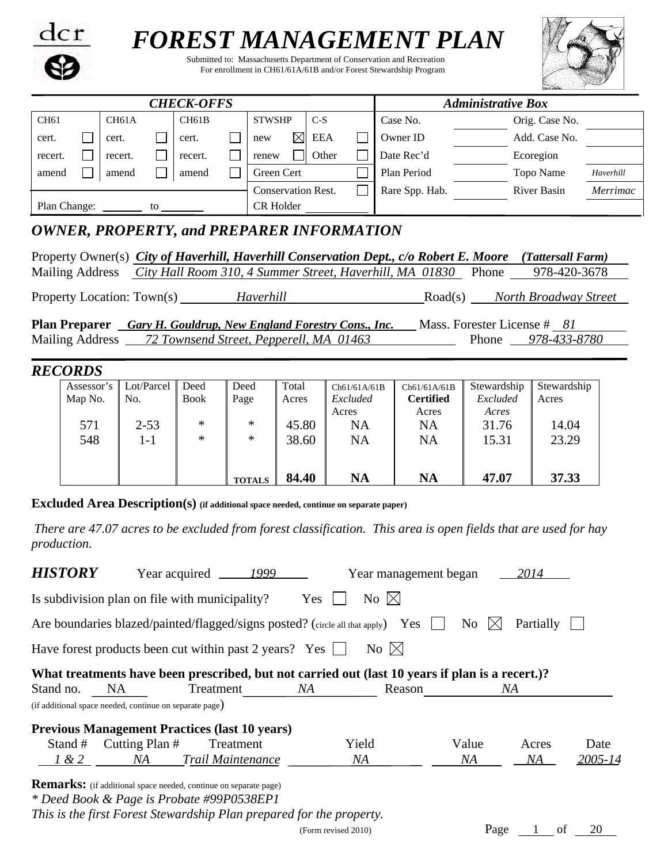

# *FOREST MANAGEMENT PLAN*

Submitted to: Massachusetts Department of Conservation and Recreation For enrollment in CH61/61A/61B and/or Forest Stewardship Program



|                    |  |                    |  | <b>CHECK-OFFS</b>  |                           |               |                |             | <b>Administrative Box</b> |                 |                |  |
|--------------------|--|--------------------|--|--------------------|---------------------------|---------------|----------------|-------------|---------------------------|-----------------|----------------|--|
| CH <sub>61</sub>   |  | CH <sub>61</sub> A |  | CH <sub>61</sub> B |                           | <b>STWSHP</b> |                | $C-S$       | Case No.                  |                 | Orig. Case No. |  |
| cert.              |  | cert.              |  | cert.              |                           | new           | $\bowtie$ l    | <b>EEA</b>  | Owner ID                  |                 | Add. Case No.  |  |
| recert.            |  | recert.            |  | recert.            |                           | renew         |                | Other       | Date Rec'd                |                 | Ecoregion      |  |
| amend              |  | amend              |  | amend              |                           | Green Cert    |                | Plan Period |                           | Topo Name       | Haverhill      |  |
|                    |  |                    |  |                    | <b>Conservation Rest.</b> |               | Rare Spp. Hab. |             | <b>River Basin</b>        | <i>Merrimac</i> |                |  |
| Plan Change:<br>to |  |                    |  |                    | CR Holder                 |               |                |             |                           |                 |                |  |

# *OWNER, PROPERTY, and PREPARER INFORMATION*

|                                      | Property Owner(s) City of Haverhill, Haverhill Conservation Dept., c/o Robert E. Moore |       | (Tattersall Farm)             |
|--------------------------------------|----------------------------------------------------------------------------------------|-------|-------------------------------|
|                                      | Mailing Address <i>City Hall Room 310, 4 Summer Street, Haverhill, MA 01830</i>        | Phone | 978-420-3678                  |
| Property Location: Town(s) Haverhill |                                                                                        |       | Road(s) North Broadway Street |
|                                      | Plan Preparer Gary H. Gouldrup, New England Forestry Cons., Inc.                       |       | Mass. Forester License $# 81$ |
|                                      | Mailing Address 22 Townsend Street, Pepperell, MA 01463                                |       | Phone 978-433-8780            |
|                                      |                                                                                        |       |                               |
| <b>RECORDS</b>                       |                                                                                        |       |                               |

| ,,,,,,,,,  |            |             |               |       |              |                  |             |             |
|------------|------------|-------------|---------------|-------|--------------|------------------|-------------|-------------|
| Assessor's | Lot/Parcel | Deed        | Deed          | Total | Ch61/61A/61B | Ch61/61A/61B     | Stewardship | Stewardship |
| Map No.    | No.        | <b>Book</b> | Page          | Acres | Excluded     | <b>Certified</b> | Excluded    | Acres       |
|            |            |             |               |       | Acres        | Acres            | Acres       |             |
| 571        | $2 - 53$   | ∗           | $\ast$        | 45.80 | NA           | <b>NA</b>        | 31.76       | 14.04       |
| 548        | 1-1        | $\ast$      | $\ast$        | 38.60 | NA           | <b>NA</b>        | 15.31       | 23.29       |
|            |            |             |               |       |              |                  |             |             |
|            |            |             |               |       |              |                  |             |             |
|            |            |             | <b>TOTALS</b> | 84.40 | <b>NA</b>    | <b>NA</b>        | 47.07       | 37.33       |

#### **Excluded Area Description(s) (if additional space needed, continue on separate paper)**

*There are 47.07 acres to be excluded from forest classification. This area is open fields that are used for hay production.* 

| <b>HISTORY</b> | Year acquired                                           | 1999                                                                                                                                                                                         |     | Year management began |       | 2014      |         |
|----------------|---------------------------------------------------------|----------------------------------------------------------------------------------------------------------------------------------------------------------------------------------------------|-----|-----------------------|-------|-----------|---------|
|                | Is subdivision plan on file with municipality?          |                                                                                                                                                                                              | Yes | No $\boxtimes$        |       |           |         |
|                |                                                         | Are boundaries blazed/painted/flagged/signs posted? (circle all that apply) Yes                                                                                                              |     |                       | No    | Partially |         |
|                |                                                         | Have forest products been cut within past 2 years? Yes $\vert \vert$                                                                                                                         |     | No $\boxtimes$        |       |           |         |
|                |                                                         | What treatments have been prescribed, but not carried out (last 10 years if plan is a recert.)?                                                                                              |     |                       |       |           |         |
| Stand no.      | NA.                                                     | Treatment                                                                                                                                                                                    | NA  | Reason                |       | NA.       |         |
|                | (if additional space needed, continue on separate page) |                                                                                                                                                                                              |     |                       |       |           |         |
|                |                                                         | <b>Previous Management Practices (last 10 years)</b>                                                                                                                                         |     |                       |       |           |         |
| Stand #        | Cutting Plan #                                          | Treatment                                                                                                                                                                                    |     | Yield                 | Value | Acres     | Date    |
| 1 & 2          | NA                                                      | Trail Maintenance                                                                                                                                                                            |     | NA                    | NA    | NA        | 2005-14 |
|                |                                                         | <b>Remarks:</b> (if additional space needed, continue on separate page)<br>* Deed Book & Page is Probate #99P0538EP1<br>This is the first Forest Stewardship Plan prepared for the property. |     |                       |       |           |         |

(Form revised 2010) Page 1 of 20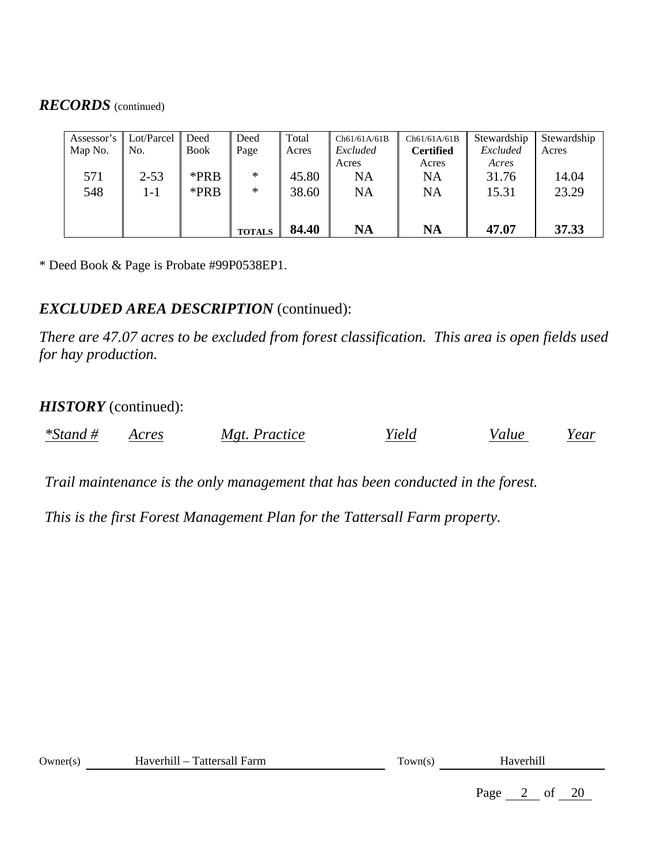### *RECORDS* (continued)

| Assessor's | Lot/Parcel $\parallel$ Deed |             | Deed          | Total | Ch61/61A/61B | Ch61/61A/61B     | Stewardship | Stewardship |
|------------|-----------------------------|-------------|---------------|-------|--------------|------------------|-------------|-------------|
| Map No.    | No.                         | <b>Book</b> | Page          | Acres | Excluded     | <b>Certified</b> | Excluded    | Acres       |
|            |                             |             |               |       | Acres        | Acres            | Acres       |             |
| 571        | $2 - 53$                    | *PRB        | $\ast$        | 45.80 | NA           | <b>NA</b>        | 31.76       | 14.04       |
| 548        | 1-1                         | *PRB        | $\ast$        | 38.60 | <b>NA</b>    | <b>NA</b>        | 15.31       | 23.29       |
|            |                             |             |               |       |              |                  |             |             |
|            |                             |             |               |       |              |                  |             |             |
|            |                             |             | <b>TOTALS</b> | 84.40 | NA           | <b>NA</b>        | 47.07       | 37.33       |

\* Deed Book & Page is Probate #99P0538EP1.

### *EXCLUDED AREA DESCRIPTION* (continued):

*There are 47.07 acres to be excluded from forest classification. This area is open fields used for hay production.* 

### *HISTORY* (continued):

| $*$ Stand # | Acres | Mgt. Practice | Yield | 'alue | rear |
|-------------|-------|---------------|-------|-------|------|
|-------------|-------|---------------|-------|-------|------|

*Trail maintenance is the only management that has been conducted in the forest.* 

*This is the first Forest Management Plan for the Tattersall Farm property.* 

| $Q$ wner $\theta$<br>$\sim$ $\sim$ $\sim$ | Farm<br>$\sim$ 0.110 $\sim$<br>ням<br>зан<br>ине | าwn |  |
|-------------------------------------------|--------------------------------------------------|-----|--|
|                                           |                                                  |     |  |

Page  $2$  of  $20$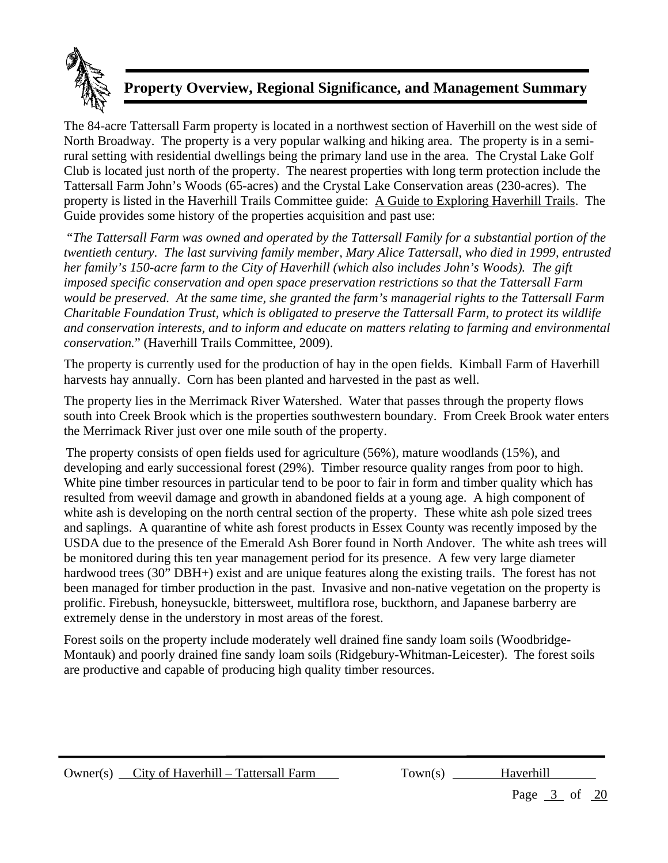

# **Property Overview, Regional Significance, and Management Summary**

The 84-acre Tattersall Farm property is located in a northwest section of Haverhill on the west side of North Broadway. The property is a very popular walking and hiking area. The property is in a semirural setting with residential dwellings being the primary land use in the area. The Crystal Lake Golf Club is located just north of the property. The nearest properties with long term protection include the Tattersall Farm John's Woods (65-acres) and the Crystal Lake Conservation areas (230-acres). The property is listed in the Haverhill Trails Committee guide: A Guide to Exploring Haverhill Trails. The Guide provides some history of the properties acquisition and past use:

 "*The Tattersall Farm was owned and operated by the Tattersall Family for a substantial portion of the twentieth century. The last surviving family member, Mary Alice Tattersall, who died in 1999, entrusted her family's 150-acre farm to the City of Haverhill (which also includes John's Woods). The gift imposed specific conservation and open space preservation restrictions so that the Tattersall Farm would be preserved. At the same time, she granted the farm's managerial rights to the Tattersall Farm Charitable Foundation Trust, which is obligated to preserve the Tattersall Farm, to protect its wildlife and conservation interests, and to inform and educate on matters relating to farming and environmental conservation.*" (Haverhill Trails Committee, 2009).

The property is currently used for the production of hay in the open fields. Kimball Farm of Haverhill harvests hay annually. Corn has been planted and harvested in the past as well.

The property lies in the Merrimack River Watershed. Water that passes through the property flows south into Creek Brook which is the properties southwestern boundary. From Creek Brook water enters the Merrimack River just over one mile south of the property.

The property consists of open fields used for agriculture (56%), mature woodlands (15%), and developing and early successional forest (29%). Timber resource quality ranges from poor to high. White pine timber resources in particular tend to be poor to fair in form and timber quality which has resulted from weevil damage and growth in abandoned fields at a young age. A high component of white ash is developing on the north central section of the property. These white ash pole sized trees and saplings. A quarantine of white ash forest products in Essex County was recently imposed by the USDA due to the presence of the Emerald Ash Borer found in North Andover. The white ash trees will be monitored during this ten year management period for its presence. A few very large diameter hardwood trees (30" DBH+) exist and are unique features along the existing trails. The forest has not been managed for timber production in the past. Invasive and non-native vegetation on the property is prolific. Firebush, honeysuckle, bittersweet, multiflora rose, buckthorn, and Japanese barberry are extremely dense in the understory in most areas of the forest.

Forest soils on the property include moderately well drained fine sandy loam soils (Woodbridge-Montauk) and poorly drained fine sandy loam soils (Ridgebury-Whitman-Leicester). The forest soils are productive and capable of producing high quality timber resources.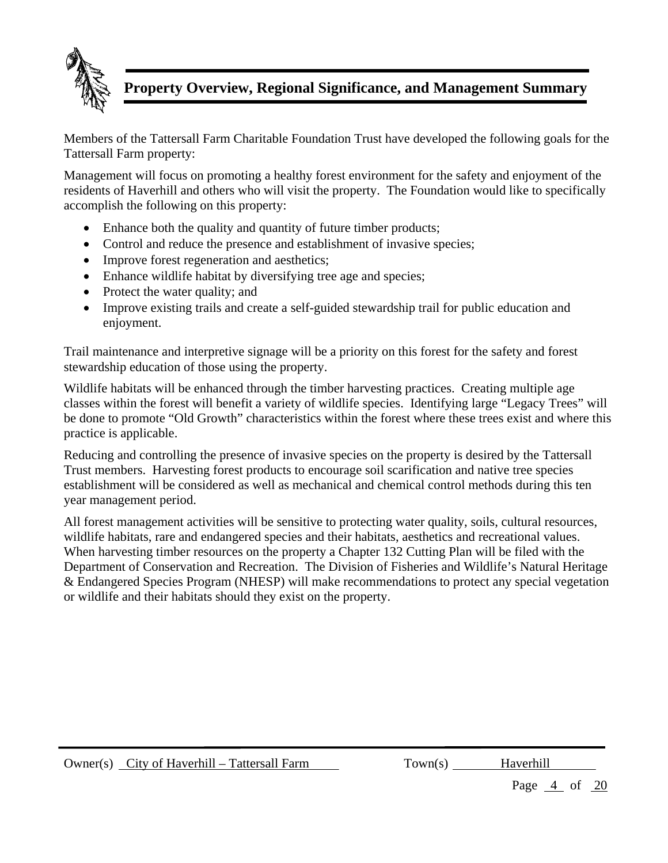

# **Property Overview, Regional Significance, and Management Summary**

Members of the Tattersall Farm Charitable Foundation Trust have developed the following goals for the Tattersall Farm property:

Management will focus on promoting a healthy forest environment for the safety and enjoyment of the residents of Haverhill and others who will visit the property. The Foundation would like to specifically accomplish the following on this property:

- Enhance both the quality and quantity of future timber products;
- Control and reduce the presence and establishment of invasive species;
- Improve forest regeneration and aesthetics;
- Enhance wildlife habitat by diversifying tree age and species;
- Protect the water quality; and
- Improve existing trails and create a self-guided stewardship trail for public education and enjoyment.

Trail maintenance and interpretive signage will be a priority on this forest for the safety and forest stewardship education of those using the property.

Wildlife habitats will be enhanced through the timber harvesting practices. Creating multiple age classes within the forest will benefit a variety of wildlife species. Identifying large "Legacy Trees" will be done to promote "Old Growth" characteristics within the forest where these trees exist and where this practice is applicable.

Reducing and controlling the presence of invasive species on the property is desired by the Tattersall Trust members. Harvesting forest products to encourage soil scarification and native tree species establishment will be considered as well as mechanical and chemical control methods during this ten year management period.

All forest management activities will be sensitive to protecting water quality, soils, cultural resources, wildlife habitats, rare and endangered species and their habitats, aesthetics and recreational values. When harvesting timber resources on the property a Chapter 132 Cutting Plan will be filed with the Department of Conservation and Recreation. The Division of Fisheries and Wildlife's Natural Heritage & Endangered Species Program (NHESP) will make recommendations to protect any special vegetation or wildlife and their habitats should they exist on the property.

| Town(s) | Haverhill |
|---------|-----------|
|         |           |

Page 4 of 20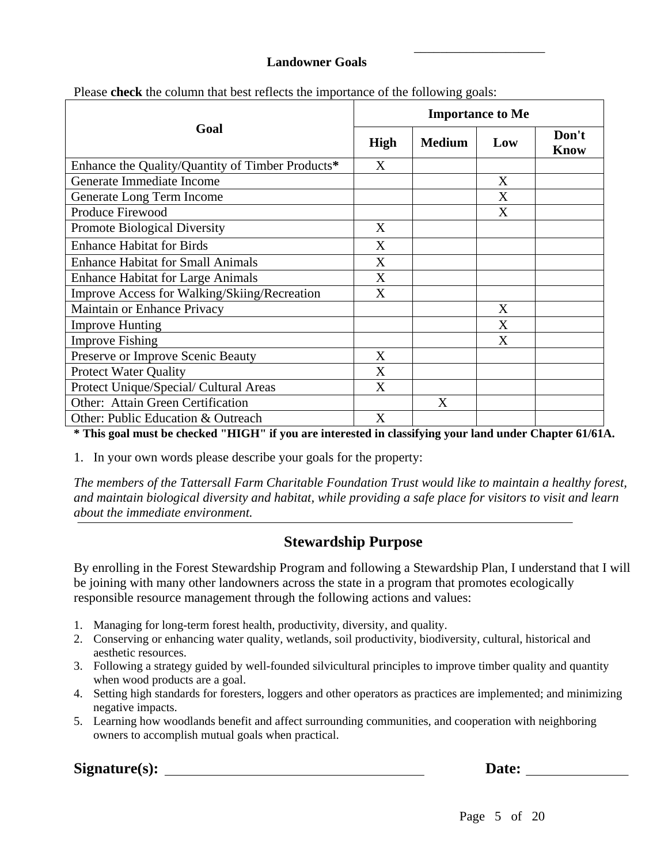#### $\mathcal{L}_\text{max}$  , and the contract of the contract of the contract of the contract of the contract of the contract of the contract of the contract of the contract of the contract of the contract of the contract of the contr  **Landowner Goals**

| I Ruse check the column that best reflects the importance of the following gouls. |             | <b>Importance to Me</b> |     |                                                                                                                                                                                                                                                                                                                                    |
|-----------------------------------------------------------------------------------|-------------|-------------------------|-----|------------------------------------------------------------------------------------------------------------------------------------------------------------------------------------------------------------------------------------------------------------------------------------------------------------------------------------|
| Goal                                                                              | <b>High</b> | <b>Medium</b>           | Low | Don't<br><b>Know</b>                                                                                                                                                                                                                                                                                                               |
| Enhance the Quality/Quantity of Timber Products*                                  | X           |                         |     |                                                                                                                                                                                                                                                                                                                                    |
| Generate Immediate Income                                                         |             |                         | X   |                                                                                                                                                                                                                                                                                                                                    |
| Generate Long Term Income                                                         |             |                         | X   |                                                                                                                                                                                                                                                                                                                                    |
| Produce Firewood                                                                  |             |                         | X   |                                                                                                                                                                                                                                                                                                                                    |
| <b>Promote Biological Diversity</b>                                               | X           |                         |     |                                                                                                                                                                                                                                                                                                                                    |
| <b>Enhance Habitat for Birds</b>                                                  | X           |                         |     |                                                                                                                                                                                                                                                                                                                                    |
| <b>Enhance Habitat for Small Animals</b>                                          | X           |                         |     |                                                                                                                                                                                                                                                                                                                                    |
| <b>Enhance Habitat for Large Animals</b>                                          | X           |                         |     |                                                                                                                                                                                                                                                                                                                                    |
| Improve Access for Walking/Skiing/Recreation                                      | X           |                         |     |                                                                                                                                                                                                                                                                                                                                    |
| Maintain or Enhance Privacy                                                       |             |                         | Χ   |                                                                                                                                                                                                                                                                                                                                    |
| <b>Improve Hunting</b>                                                            |             |                         | X   |                                                                                                                                                                                                                                                                                                                                    |
| <b>Improve Fishing</b>                                                            |             |                         | X   |                                                                                                                                                                                                                                                                                                                                    |
| Preserve or Improve Scenic Beauty                                                 | X           |                         |     |                                                                                                                                                                                                                                                                                                                                    |
| <b>Protect Water Quality</b>                                                      | X           |                         |     |                                                                                                                                                                                                                                                                                                                                    |
| Protect Unique/Special/ Cultural Areas                                            | X           |                         |     |                                                                                                                                                                                                                                                                                                                                    |
| Other: Attain Green Certification                                                 |             | X                       |     |                                                                                                                                                                                                                                                                                                                                    |
| Other: Public Education & Outreach<br>$\blacksquare$                              | X           |                         |     | $\mathbf{1}$ $\mathbf{1}$ $\mathbf{1}$ $\mathbf{1}$ $\mathbf{1}$ $\mathbf{1}$ $\mathbf{1}$ $\mathbf{1}$ $\mathbf{1}$ $\mathbf{1}$ $\mathbf{1}$ $\mathbf{1}$ $\mathbf{1}$ $\mathbf{1}$ $\mathbf{1}$ $\mathbf{1}$ $\mathbf{1}$ $\mathbf{1}$ $\mathbf{1}$ $\mathbf{1}$ $\mathbf{1}$ $\mathbf{1}$ $\mathbf{1}$ $\mathbf{1}$ $\mathbf{$ |

Please **check** the column that best reflects the importance of the following goals:

**\* This goal must be checked "HIGH" if you are interested in classifying your land under Chapter 61/61A.** 

1. In your own words please describe your goals for the property:

*The members of the Tattersall Farm Charitable Foundation Trust would like to maintain a healthy forest, and maintain biological diversity and habitat, while providing a safe place for visitors to visit and learn about the immediate environment.* 

### **Stewardship Purpose**

By enrolling in the Forest Stewardship Program and following a Stewardship Plan, I understand that I will be joining with many other landowners across the state in a program that promotes ecologically responsible resource management through the following actions and values:

- 1. Managing for long-term forest health, productivity, diversity, and quality.
- 2. Conserving or enhancing water quality, wetlands, soil productivity, biodiversity, cultural, historical and aesthetic resources.
- 3. Following a strategy guided by well-founded silvicultural principles to improve timber quality and quantity when wood products are a goal.
- 4. Setting high standards for foresters, loggers and other operators as practices are implemented; and minimizing negative impacts.
- 5. Learning how woodlands benefit and affect surrounding communities, and cooperation with neighboring owners to accomplish mutual goals when practical.

Signature(s): <u>Next Representative Contract Contract Contract Contract Contract Contract Contract Contract Contract Contract Contract Contract Contract Contract Contract Contract Contract Contract Contract Contract Contrac</u>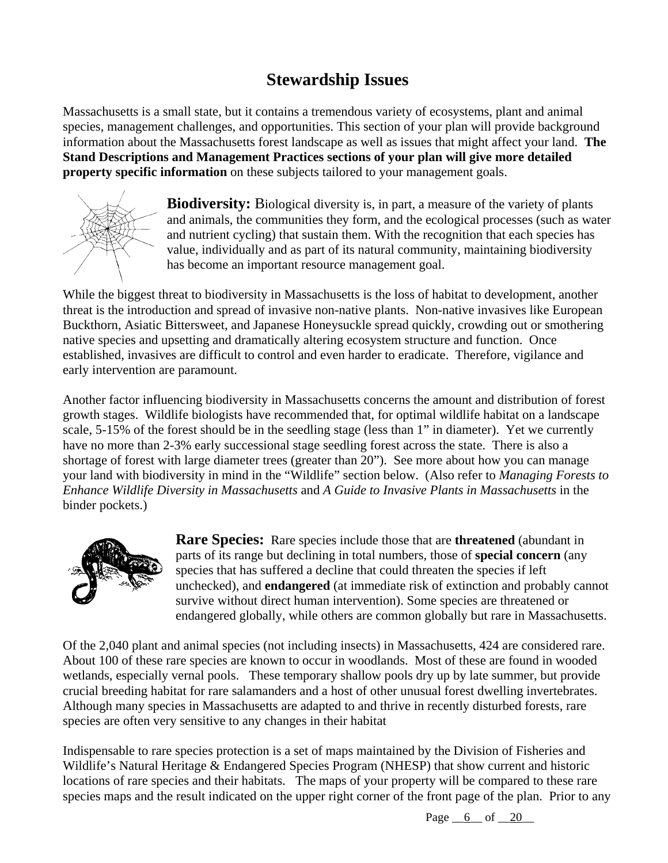# **Stewardship Issues**

Massachusetts is a small state, but it contains a tremendous variety of ecosystems, plant and animal species, management challenges, and opportunities. This section of your plan will provide background information about the Massachusetts forest landscape as well as issues that might affect your land. **The Stand Descriptions and Management Practices sections of your plan will give more detailed property specific information** on these subjects tailored to your management goals.



**Biodiversity:** Biological diversity is, in part, a measure of the variety of plants and animals, the communities they form, and the ecological processes (such as water and nutrient cycling) that sustain them. With the recognition that each species has value, individually and as part of its natural community, maintaining biodiversity has become an important resource management goal.

While the biggest threat to biodiversity in Massachusetts is the loss of habitat to development, another threat is the introduction and spread of invasive non-native plants. Non-native invasives like European Buckthorn, Asiatic Bittersweet, and Japanese Honeysuckle spread quickly, crowding out or smothering native species and upsetting and dramatically altering ecosystem structure and function. Once established, invasives are difficult to control and even harder to eradicate. Therefore, vigilance and early intervention are paramount.

Another factor influencing biodiversity in Massachusetts concerns the amount and distribution of forest growth stages. Wildlife biologists have recommended that, for optimal wildlife habitat on a landscape scale, 5-15% of the forest should be in the seedling stage (less than 1" in diameter). Yet we currently have no more than 2-3% early successional stage seedling forest across the state. There is also a shortage of forest with large diameter trees (greater than 20"). See more about how you can manage your land with biodiversity in mind in the "Wildlife" section below. (Also refer to *Managing Forests to Enhance Wildlife Diversity in Massachusetts* and *A Guide to Invasive Plants in Massachusetts* in the binder pockets.)



**Rare Species:** Rare species include those that are **threatened** (abundant in parts of its range but declining in total numbers, those of **special concern** (any species that has suffered a decline that could threaten the species if left unchecked), and **endangered** (at immediate risk of extinction and probably cannot survive without direct human intervention). Some species are threatened or endangered globally, while others are common globally but rare in Massachusetts.

Of the 2,040 plant and animal species (not including insects) in Massachusetts, 424 are considered rare. About 100 of these rare species are known to occur in woodlands. Most of these are found in wooded wetlands, especially vernal pools. These temporary shallow pools dry up by late summer, but provide crucial breeding habitat for rare salamanders and a host of other unusual forest dwelling invertebrates. Although many species in Massachusetts are adapted to and thrive in recently disturbed forests, rare species are often very sensitive to any changes in their habitat

Indispensable to rare species protection is a set of maps maintained by the Division of Fisheries and Wildlife's Natural Heritage & Endangered Species Program (NHESP) that show current and historic locations of rare species and their habitats. The maps of your property will be compared to these rare species maps and the result indicated on the upper right corner of the front page of the plan. Prior to any

Page  $6$  of  $20$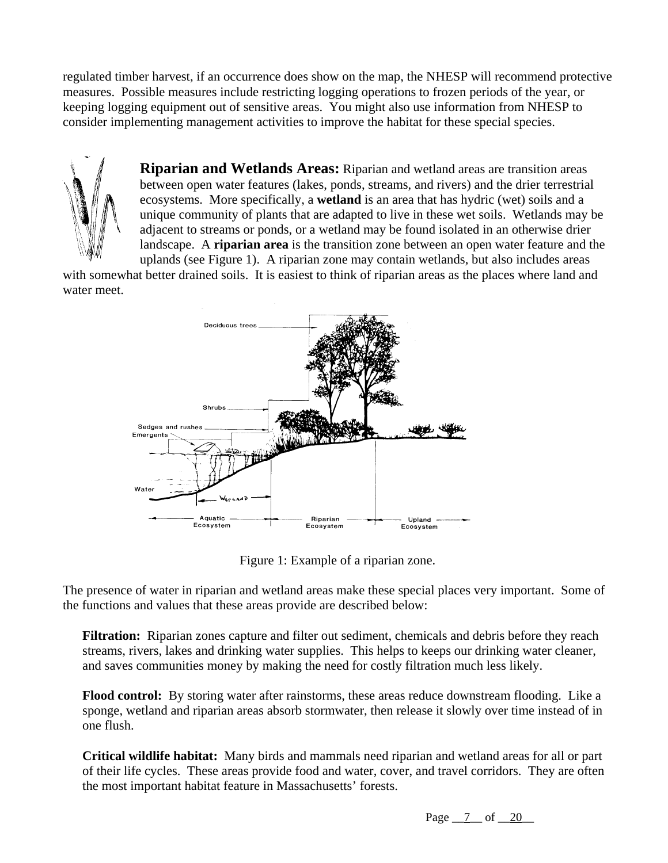regulated timber harvest, if an occurrence does show on the map, the NHESP will recommend protective measures. Possible measures include restricting logging operations to frozen periods of the year, or keeping logging equipment out of sensitive areas. You might also use information from NHESP to consider implementing management activities to improve the habitat for these special species.



**Riparian and Wetlands Areas:** Riparian and wetland areas are transition areas between open water features (lakes, ponds, streams, and rivers) and the drier terrestrial ecosystems. More specifically, a **wetland** is an area that has hydric (wet) soils and a unique community of plants that are adapted to live in these wet soils. Wetlands may be adjacent to streams or ponds, or a wetland may be found isolated in an otherwise drier landscape. A **riparian area** is the transition zone between an open water feature and the uplands (see Figure 1). A riparian zone may contain wetlands, but also includes areas

with somewhat better drained soils. It is easiest to think of riparian areas as the places where land and water meet.



Figure 1: Example of a riparian zone.

The presence of water in riparian and wetland areas make these special places very important. Some of the functions and values that these areas provide are described below:

**Filtration:** Riparian zones capture and filter out sediment, chemicals and debris before they reach streams, rivers, lakes and drinking water supplies. This helps to keeps our drinking water cleaner, and saves communities money by making the need for costly filtration much less likely.

**Flood control:** By storing water after rainstorms, these areas reduce downstream flooding. Like a sponge, wetland and riparian areas absorb stormwater, then release it slowly over time instead of in one flush.

**Critical wildlife habitat:** Many birds and mammals need riparian and wetland areas for all or part of their life cycles. These areas provide food and water, cover, and travel corridors. They are often the most important habitat feature in Massachusetts' forests.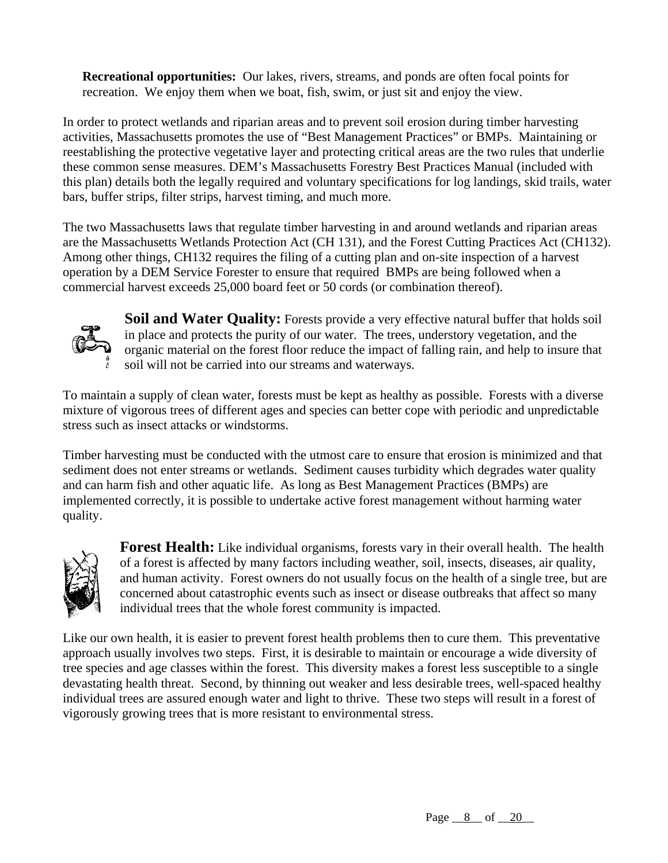**Recreational opportunities:** Our lakes, rivers, streams, and ponds are often focal points for recreation. We enjoy them when we boat, fish, swim, or just sit and enjoy the view.

In order to protect wetlands and riparian areas and to prevent soil erosion during timber harvesting activities, Massachusetts promotes the use of "Best Management Practices" or BMPs. Maintaining or reestablishing the protective vegetative layer and protecting critical areas are the two rules that underlie these common sense measures. DEM's Massachusetts Forestry Best Practices Manual (included with this plan) details both the legally required and voluntary specifications for log landings, skid trails, water bars, buffer strips, filter strips, harvest timing, and much more.

The two Massachusetts laws that regulate timber harvesting in and around wetlands and riparian areas are the Massachusetts Wetlands Protection Act (CH 131), and the Forest Cutting Practices Act (CH132). Among other things, CH132 requires the filing of a cutting plan and on-site inspection of a harvest operation by a DEM Service Forester to ensure that required BMPs are being followed when a commercial harvest exceeds 25,000 board feet or 50 cords (or combination thereof).



**Soil and Water Quality:** Forests provide a very effective natural buffer that holds soil in place and protects the purity of our water. The trees, understory vegetation, and the organic material on the forest floor reduce the impact of falling rain, and help to insure that soil will not be carried into our streams and waterways.

To maintain a supply of clean water, forests must be kept as healthy as possible. Forests with a diverse mixture of vigorous trees of different ages and species can better cope with periodic and unpredictable stress such as insect attacks or windstorms.

Timber harvesting must be conducted with the utmost care to ensure that erosion is minimized and that sediment does not enter streams or wetlands. Sediment causes turbidity which degrades water quality and can harm fish and other aquatic life. As long as Best Management Practices (BMPs) are implemented correctly, it is possible to undertake active forest management without harming water quality.



**Forest Health:** Like individual organisms, forests vary in their overall health. The health of a forest is affected by many factors including weather, soil, insects, diseases, air quality, and human activity. Forest owners do not usually focus on the health of a single tree, but are concerned about catastrophic events such as insect or disease outbreaks that affect so many individual trees that the whole forest community is impacted.

Like our own health, it is easier to prevent forest health problems then to cure them. This preventative approach usually involves two steps. First, it is desirable to maintain or encourage a wide diversity of tree species and age classes within the forest. This diversity makes a forest less susceptible to a single devastating health threat. Second, by thinning out weaker and less desirable trees, well-spaced healthy individual trees are assured enough water and light to thrive. These two steps will result in a forest of vigorously growing trees that is more resistant to environmental stress.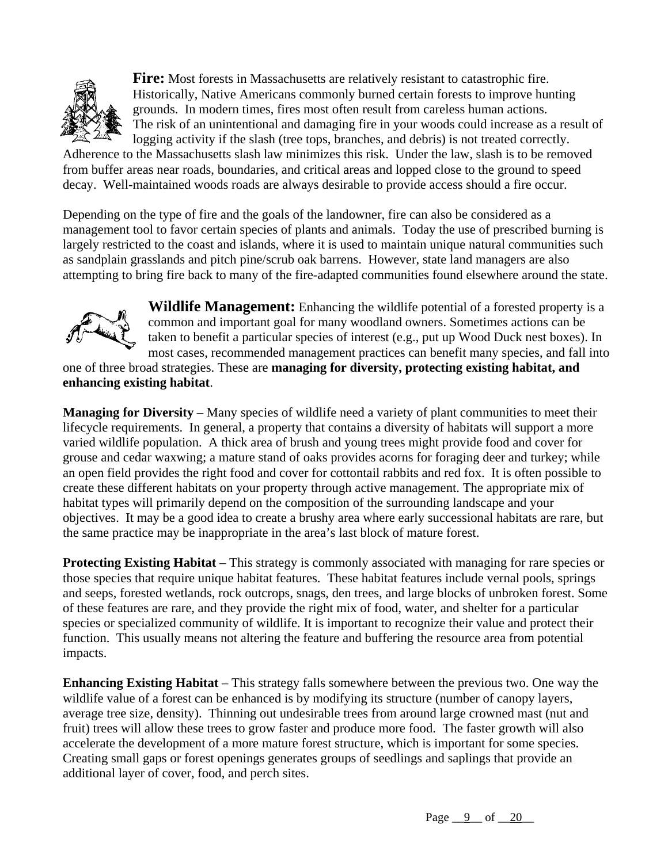

**Fire:** Most forests in Massachusetts are relatively resistant to catastrophic fire. Historically, Native Americans commonly burned certain forests to improve hunting grounds. In modern times, fires most often result from careless human actions. The risk of an unintentional and damaging fire in your woods could increase as a result of logging activity if the slash (tree tops, branches, and debris) is not treated correctly.

Adherence to the Massachusetts slash law minimizes this risk. Under the law, slash is to be removed from buffer areas near roads, boundaries, and critical areas and lopped close to the ground to speed decay. Well-maintained woods roads are always desirable to provide access should a fire occur.

Depending on the type of fire and the goals of the landowner, fire can also be considered as a management tool to favor certain species of plants and animals. Today the use of prescribed burning is largely restricted to the coast and islands, where it is used to maintain unique natural communities such as sandplain grasslands and pitch pine/scrub oak barrens. However, state land managers are also attempting to bring fire back to many of the fire-adapted communities found elsewhere around the state.



**Wildlife Management:** Enhancing the wildlife potential of a forested property is a common and important goal for many woodland owners. Sometimes actions can be taken to benefit a particular species of interest (e.g., put up Wood Duck nest boxes). In most cases, recommended management practices can benefit many species, and fall into

one of three broad strategies. These are **managing for diversity, protecting existing habitat, and enhancing existing habitat**.

**Managing for Diversity** – Many species of wildlife need a variety of plant communities to meet their lifecycle requirements. In general, a property that contains a diversity of habitats will support a more varied wildlife population. A thick area of brush and young trees might provide food and cover for grouse and cedar waxwing; a mature stand of oaks provides acorns for foraging deer and turkey; while an open field provides the right food and cover for cottontail rabbits and red fox. It is often possible to create these different habitats on your property through active management. The appropriate mix of habitat types will primarily depend on the composition of the surrounding landscape and your objectives. It may be a good idea to create a brushy area where early successional habitats are rare, but the same practice may be inappropriate in the area's last block of mature forest.

**Protecting Existing Habitat** – This strategy is commonly associated with managing for rare species or those species that require unique habitat features. These habitat features include vernal pools, springs and seeps, forested wetlands, rock outcrops, snags, den trees, and large blocks of unbroken forest. Some of these features are rare, and they provide the right mix of food, water, and shelter for a particular species or specialized community of wildlife. It is important to recognize their value and protect their function. This usually means not altering the feature and buffering the resource area from potential impacts.

**Enhancing Existing Habitat** – This strategy falls somewhere between the previous two. One way the wildlife value of a forest can be enhanced is by modifying its structure (number of canopy layers, average tree size, density). Thinning out undesirable trees from around large crowned mast (nut and fruit) trees will allow these trees to grow faster and produce more food. The faster growth will also accelerate the development of a more mature forest structure, which is important for some species. Creating small gaps or forest openings generates groups of seedlings and saplings that provide an additional layer of cover, food, and perch sites.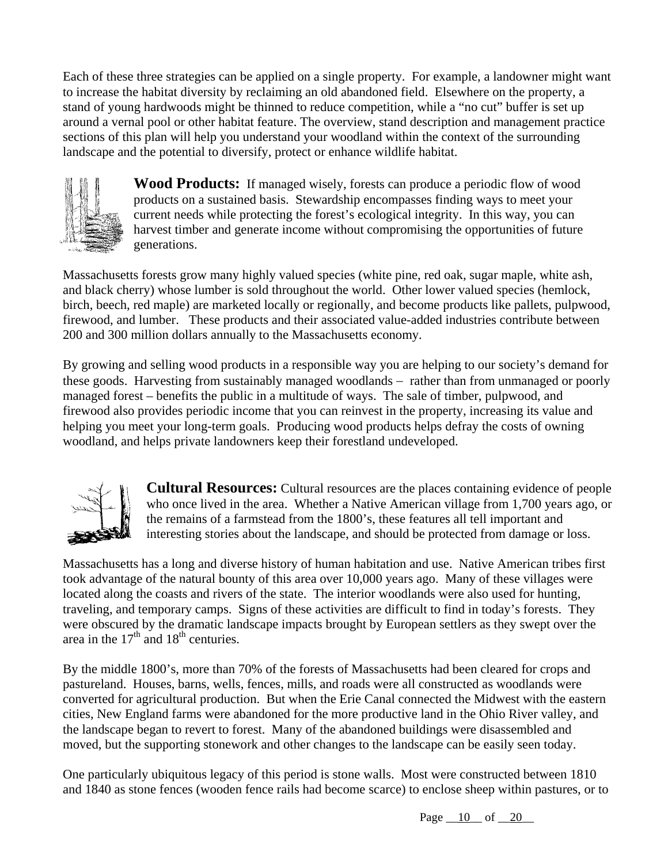Each of these three strategies can be applied on a single property. For example, a landowner might want to increase the habitat diversity by reclaiming an old abandoned field. Elsewhere on the property, a stand of young hardwoods might be thinned to reduce competition, while a "no cut" buffer is set up around a vernal pool or other habitat feature. The overview, stand description and management practice sections of this plan will help you understand your woodland within the context of the surrounding landscape and the potential to diversify, protect or enhance wildlife habitat.



**Wood Products:** If managed wisely, forests can produce a periodic flow of wood products on a sustained basis. Stewardship encompasses finding ways to meet your current needs while protecting the forest's ecological integrity. In this way, you can harvest timber and generate income without compromising the opportunities of future generations.

Massachusetts forests grow many highly valued species (white pine, red oak, sugar maple, white ash, and black cherry) whose lumber is sold throughout the world. Other lower valued species (hemlock, birch, beech, red maple) are marketed locally or regionally, and become products like pallets, pulpwood, firewood, and lumber. These products and their associated value-added industries contribute between 200 and 300 million dollars annually to the Massachusetts economy.

By growing and selling wood products in a responsible way you are helping to our society's demand for these goods. Harvesting from sustainably managed woodlands – rather than from unmanaged or poorly managed forest – benefits the public in a multitude of ways. The sale of timber, pulpwood, and firewood also provides periodic income that you can reinvest in the property, increasing its value and helping you meet your long-term goals. Producing wood products helps defray the costs of owning woodland, and helps private landowners keep their forestland undeveloped.



**Cultural Resources:** Cultural resources are the places containing evidence of people who once lived in the area. Whether a Native American village from 1,700 years ago, or the remains of a farmstead from the 1800's, these features all tell important and interesting stories about the landscape, and should be protected from damage or loss.

Massachusetts has a long and diverse history of human habitation and use. Native American tribes first took advantage of the natural bounty of this area over 10,000 years ago. Many of these villages were located along the coasts and rivers of the state. The interior woodlands were also used for hunting, traveling, and temporary camps. Signs of these activities are difficult to find in today's forests. They were obscured by the dramatic landscape impacts brought by European settlers as they swept over the area in the  $17<sup>th</sup>$  and  $18<sup>th</sup>$  centuries.

By the middle 1800's, more than 70% of the forests of Massachusetts had been cleared for crops and pastureland. Houses, barns, wells, fences, mills, and roads were all constructed as woodlands were converted for agricultural production. But when the Erie Canal connected the Midwest with the eastern cities, New England farms were abandoned for the more productive land in the Ohio River valley, and the landscape began to revert to forest. Many of the abandoned buildings were disassembled and moved, but the supporting stonework and other changes to the landscape can be easily seen today.

One particularly ubiquitous legacy of this period is stone walls. Most were constructed between 1810 and 1840 as stone fences (wooden fence rails had become scarce) to enclose sheep within pastures, or to

Page  $\_10$  of  $\_20$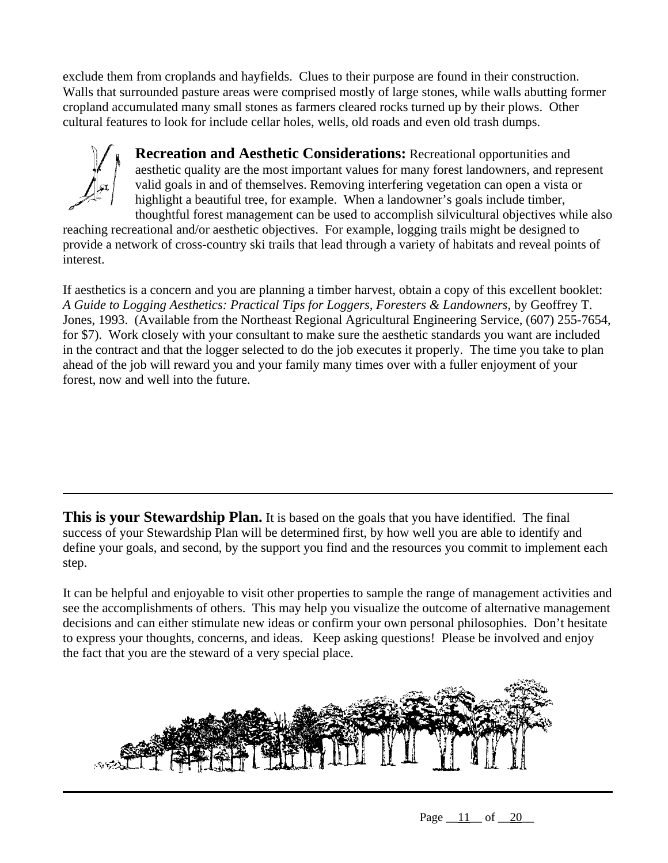exclude them from croplands and hayfields. Clues to their purpose are found in their construction. Walls that surrounded pasture areas were comprised mostly of large stones, while walls abutting former cropland accumulated many small stones as farmers cleared rocks turned up by their plows. Other cultural features to look for include cellar holes, wells, old roads and even old trash dumps.



**Recreation and Aesthetic Considerations:** Recreational opportunities and aesthetic quality are the most important values for many forest landowners, and represent valid goals in and of themselves. Removing interfering vegetation can open a vista or highlight a beautiful tree, for example. When a landowner's goals include timber, thoughtful forest management can be used to accomplish silvicultural objectives while also

reaching recreational and/or aesthetic objectives. For example, logging trails might be designed to provide a network of cross-country ski trails that lead through a variety of habitats and reveal points of interest.

If aesthetics is a concern and you are planning a timber harvest, obtain a copy of this excellent booklet: *A Guide to Logging Aesthetics: Practical Tips for Loggers, Foresters & Landowners*, by Geoffrey T. Jones, 1993. (Available from the Northeast Regional Agricultural Engineering Service, (607) 255-7654, for \$7). Work closely with your consultant to make sure the aesthetic standards you want are included in the contract and that the logger selected to do the job executes it properly. The time you take to plan ahead of the job will reward you and your family many times over with a fuller enjoyment of your forest, now and well into the future.

**This is your Stewardship Plan.** It is based on the goals that you have identified. The final success of your Stewardship Plan will be determined first, by how well you are able to identify and define your goals, and second, by the support you find and the resources you commit to implement each step.

It can be helpful and enjoyable to visit other properties to sample the range of management activities and see the accomplishments of others. This may help you visualize the outcome of alternative management decisions and can either stimulate new ideas or confirm your own personal philosophies. Don't hesitate to express your thoughts, concerns, and ideas. Keep asking questions! Please be involved and enjoy the fact that you are the steward of a very special place.

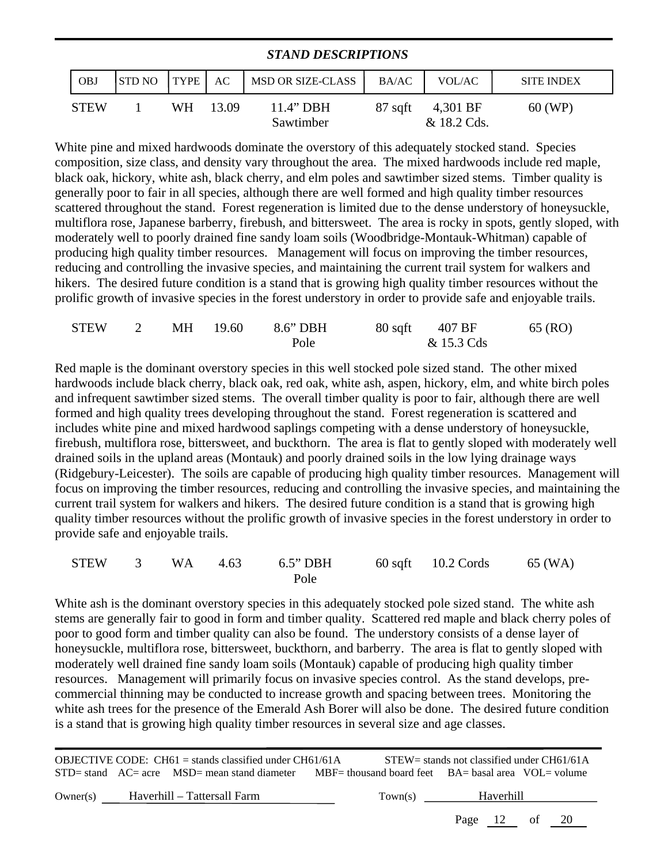| <b>STAND DESCRIPTIONS</b> |                |              |       |                           |         |                         |                   |  |  |  |
|---------------------------|----------------|--------------|-------|---------------------------|---------|-------------------------|-------------------|--|--|--|
| <b>OBJ</b>                | <b>ISTD NO</b> | $ $ TYPE $ $ | AC    | <b>MSD OR SIZE-CLASS</b>  | BA/AC   | VOL/AC                  | <b>SITE INDEX</b> |  |  |  |
| <b>STEW</b>               |                | WH           | 13.09 | $11.4$ " DBH<br>Sawtimber | 87 sqft | 4,301 BF<br>& 18.2 Cds. | 60 (WP)           |  |  |  |

White pine and mixed hardwoods dominate the overstory of this adequately stocked stand. Species composition, size class, and density vary throughout the area. The mixed hardwoods include red maple, black oak, hickory, white ash, black cherry, and elm poles and sawtimber sized stems. Timber quality is generally poor to fair in all species, although there are well formed and high quality timber resources scattered throughout the stand. Forest regeneration is limited due to the dense understory of honeysuckle, multiflora rose, Japanese barberry, firebush, and bittersweet. The area is rocky in spots, gently sloped, with moderately well to poorly drained fine sandy loam soils (Woodbridge-Montauk-Whitman) capable of producing high quality timber resources. Management will focus on improving the timber resources, reducing and controlling the invasive species, and maintaining the current trail system for walkers and hikers. The desired future condition is a stand that is growing high quality timber resources without the prolific growth of invasive species in the forest understory in order to provide safe and enjoyable trails.

| STEW |  | MH 19.60 8.6" DBH | 80 sqft | 407 BF     | 65 (RO) |
|------|--|-------------------|---------|------------|---------|
|      |  | Pole              |         | & 15.3 Cds |         |

Red maple is the dominant overstory species in this well stocked pole sized stand. The other mixed hardwoods include black cherry, black oak, red oak, white ash, aspen, hickory, elm, and white birch poles and infrequent sawtimber sized stems. The overall timber quality is poor to fair, although there are well formed and high quality trees developing throughout the stand. Forest regeneration is scattered and includes white pine and mixed hardwood saplings competing with a dense understory of honeysuckle, firebush, multiflora rose, bittersweet, and buckthorn. The area is flat to gently sloped with moderately well drained soils in the upland areas (Montauk) and poorly drained soils in the low lying drainage ways (Ridgebury-Leicester). The soils are capable of producing high quality timber resources. Management will focus on improving the timber resources, reducing and controlling the invasive species, and maintaining the current trail system for walkers and hikers. The desired future condition is a stand that is growing high quality timber resources without the prolific growth of invasive species in the forest understory in order to provide safe and enjoyable trails.

|  |  | STEW 3 WA 4.63 6.5" DBH | 60 sqft 10.2 Cords 65 (WA) |  |
|--|--|-------------------------|----------------------------|--|
|  |  | Pole                    |                            |  |

White ash is the dominant overstory species in this adequately stocked pole sized stand. The white ash stems are generally fair to good in form and timber quality. Scattered red maple and black cherry poles of poor to good form and timber quality can also be found. The understory consists of a dense layer of honeysuckle, multiflora rose, bittersweet, buckthorn, and barberry. The area is flat to gently sloped with moderately well drained fine sandy loam soils (Montauk) capable of producing high quality timber resources. Management will primarily focus on invasive species control. As the stand develops, precommercial thinning may be conducted to increase growth and spacing between trees. Monitoring the white ash trees for the presence of the Emerald Ash Borer will also be done. The desired future condition is a stand that is growing high quality timber resources in several size and age classes.

|          |                             | OBJECTIVE CODE: CH61 = stands classified under CH61/61A                                                |         |           | $STEW$ stands not classified under CH61/61A |
|----------|-----------------------------|--------------------------------------------------------------------------------------------------------|---------|-----------|---------------------------------------------|
|          |                             | $STD$ stand AC = acre MSD = mean stand diameter MBF = thousand board feet BA = basal area VOL = volume |         |           |                                             |
| Owner(s) | Haverhill – Tattersall Farm |                                                                                                        | Town(s) | Haverhill |                                             |
|          |                             |                                                                                                        |         |           | Page $12$ of $20$                           |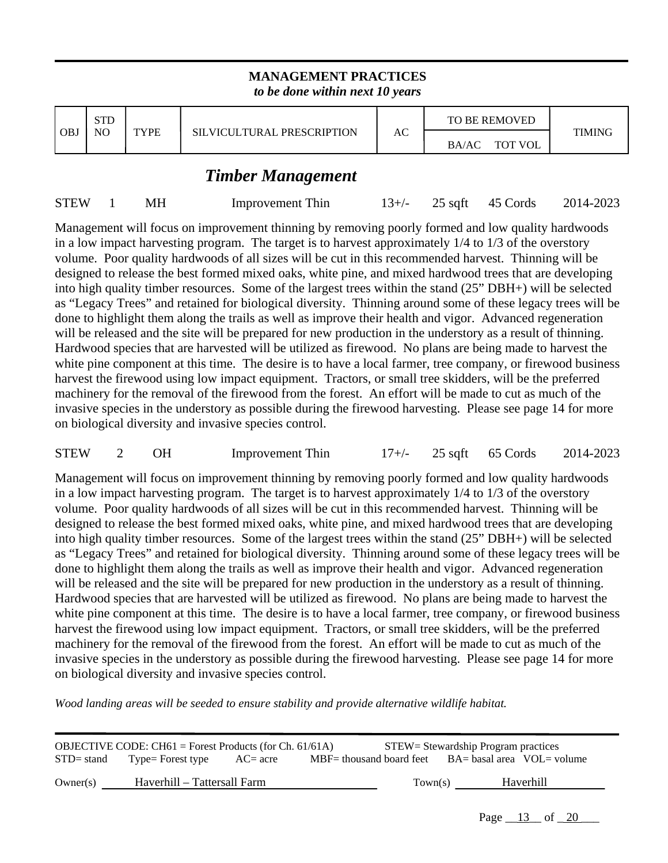#### **MANAGEMENT PRACTICES**  *to be done within next 10 years*

|  | <b>STD</b><br>OB <sub>J</sub><br>NO |             |                            |    | TO BE REMOVED           |               |
|--|-------------------------------------|-------------|----------------------------|----|-------------------------|---------------|
|  |                                     | <b>TYPE</b> | SILVICULTURAL PRESCRIPTION | AC | TOT VOL<br><b>BA/AC</b> | <b>TIMING</b> |
|  |                                     |             |                            |    |                         |               |

### *Timber Management*

| <b>STEW</b> |  | MH | Improvement Thin |  |  |  | $13+\frac{1}{25}$ sqft 45 Cords 2014-2023 |
|-------------|--|----|------------------|--|--|--|-------------------------------------------|
|-------------|--|----|------------------|--|--|--|-------------------------------------------|

Management will focus on improvement thinning by removing poorly formed and low quality hardwoods in a low impact harvesting program. The target is to harvest approximately 1/4 to 1/3 of the overstory volume. Poor quality hardwoods of all sizes will be cut in this recommended harvest. Thinning will be designed to release the best formed mixed oaks, white pine, and mixed hardwood trees that are developing into high quality timber resources. Some of the largest trees within the stand (25" DBH+) will be selected as "Legacy Trees" and retained for biological diversity. Thinning around some of these legacy trees will be done to highlight them along the trails as well as improve their health and vigor. Advanced regeneration will be released and the site will be prepared for new production in the understory as a result of thinning. Hardwood species that are harvested will be utilized as firewood. No plans are being made to harvest the white pine component at this time. The desire is to have a local farmer, tree company, or firewood business harvest the firewood using low impact equipment. Tractors, or small tree skidders, will be the preferred machinery for the removal of the firewood from the forest. An effort will be made to cut as much of the invasive species in the understory as possible during the firewood harvesting. Please see page 14 for more on biological diversity and invasive species control.

STEW 2 OH Improvement Thin 17+/- 25 sqft 65 Cords 2014-2023

Management will focus on improvement thinning by removing poorly formed and low quality hardwoods in a low impact harvesting program. The target is to harvest approximately 1/4 to 1/3 of the overstory volume. Poor quality hardwoods of all sizes will be cut in this recommended harvest. Thinning will be designed to release the best formed mixed oaks, white pine, and mixed hardwood trees that are developing into high quality timber resources. Some of the largest trees within the stand (25" DBH+) will be selected as "Legacy Trees" and retained for biological diversity. Thinning around some of these legacy trees will be done to highlight them along the trails as well as improve their health and vigor. Advanced regeneration will be released and the site will be prepared for new production in the understory as a result of thinning. Hardwood species that are harvested will be utilized as firewood. No plans are being made to harvest the white pine component at this time. The desire is to have a local farmer, tree company, or firewood business harvest the firewood using low impact equipment. Tractors, or small tree skidders, will be the preferred machinery for the removal of the firewood from the forest. An effort will be made to cut as much of the invasive species in the understory as possible during the firewood harvesting. Please see page 14 for more on biological diversity and invasive species control.

*Wood landing areas will be seeded to ensure stability and provide alternative wildlife habitat.*

|          | OBJECTIVE CODE: CH61 = Forest Products (for Ch. $61/61A$ ) |             |         | STEW= Stewardship Program practices                          |           |
|----------|------------------------------------------------------------|-------------|---------|--------------------------------------------------------------|-----------|
|          | $STD = stand$ Type=Forest type                             | $AC = acre$ |         | $MBF$ = thousand board feet $BA$ = basal area $VOL$ = volume |           |
| Owner(s) | Haverhill – Tattersall Farm                                |             | Town(s) |                                                              | Haverhill |

Page  $\_13$  of  $\_20$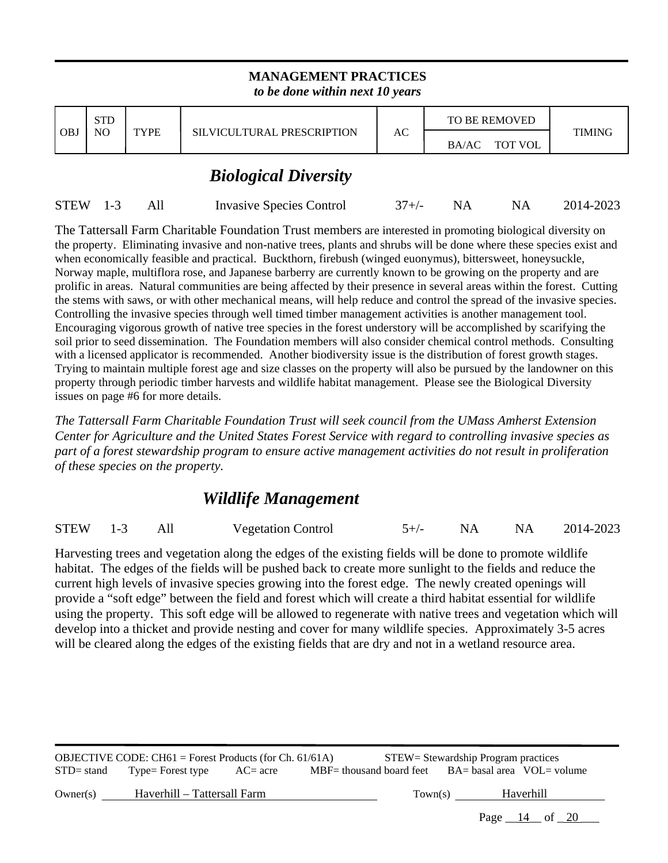#### **MANAGEMENT PRACTICES**  *to be done within next 10 years*

|       | <b>STD</b> |             |                            |    | <b>TO BE REMOVED</b> |               |
|-------|------------|-------------|----------------------------|----|----------------------|---------------|
| l OBJ | NO         | <b>TYPE</b> | SILVICULTURAL PRESCRIPTION | AC | TOT VOL<br>BA/AC     | <b>TIMING</b> |
|       |            |             |                            |    |                      |               |

# *Biological Diversity*

| STEW 1-3 All |  |  | Invasive Species Control | $37 +/-$ NA |  |  | NA 2014-2023 |
|--------------|--|--|--------------------------|-------------|--|--|--------------|
|--------------|--|--|--------------------------|-------------|--|--|--------------|

The Tattersall Farm Charitable Foundation Trust members are interested in promoting biological diversity on the property. Eliminating invasive and non-native trees, plants and shrubs will be done where these species exist and when economically feasible and practical. Buckthorn, firebush (winged euonymus), bittersweet, honeysuckle, Norway maple, multiflora rose, and Japanese barberry are currently known to be growing on the property and are prolific in areas. Natural communities are being affected by their presence in several areas within the forest. Cutting the stems with saws, or with other mechanical means, will help reduce and control the spread of the invasive species. Controlling the invasive species through well timed timber management activities is another management tool. Encouraging vigorous growth of native tree species in the forest understory will be accomplished by scarifying the soil prior to seed dissemination. The Foundation members will also consider chemical control methods. Consulting with a licensed applicator is recommended. Another biodiversity issue is the distribution of forest growth stages. Trying to maintain multiple forest age and size classes on the property will also be pursued by the landowner on this property through periodic timber harvests and wildlife habitat management. Please see the Biological Diversity issues on page #6 for more details.

*The Tattersall Farm Charitable Foundation Trust will seek council from the UMass Amherst Extension Center for Agriculture and the United States Forest Service with regard to controlling invasive species as part of a forest stewardship program to ensure active management activities do not result in proliferation of these species on the property.*

# *Wildlife Management*

| STEW 1-3 All |  |  | <b>Vegetation Control</b> |  |  |  | $5+/$ NA NA $2014-2023$ |
|--------------|--|--|---------------------------|--|--|--|-------------------------|
|--------------|--|--|---------------------------|--|--|--|-------------------------|

Harvesting trees and vegetation along the edges of the existing fields will be done to promote wildlife habitat. The edges of the fields will be pushed back to create more sunlight to the fields and reduce the current high levels of invasive species growing into the forest edge. The newly created openings will provide a "soft edge" between the field and forest which will create a third habitat essential for wildlife using the property. This soft edge will be allowed to regenerate with native trees and vegetation which will develop into a thicket and provide nesting and cover for many wildlife species. Approximately 3-5 acres will be cleared along the edges of the existing fields that are dry and not in a wetland resource area.

|          | OBJECTIVE CODE: CH61 = Forest Products (for Ch. $61/61A$ ) |             |                          |         | STEW= Stewardship Program practices |  |
|----------|------------------------------------------------------------|-------------|--------------------------|---------|-------------------------------------|--|
|          | $STD = stand$ Type=Forest type                             | $AC = acre$ | MBF= thousand board feet |         | BA= basal area VOL= volume          |  |
| Owner(s) | Haverhill – Tattersall Farm                                |             |                          | Town(s) | Haverhill                           |  |

Page  $14$  of  $20$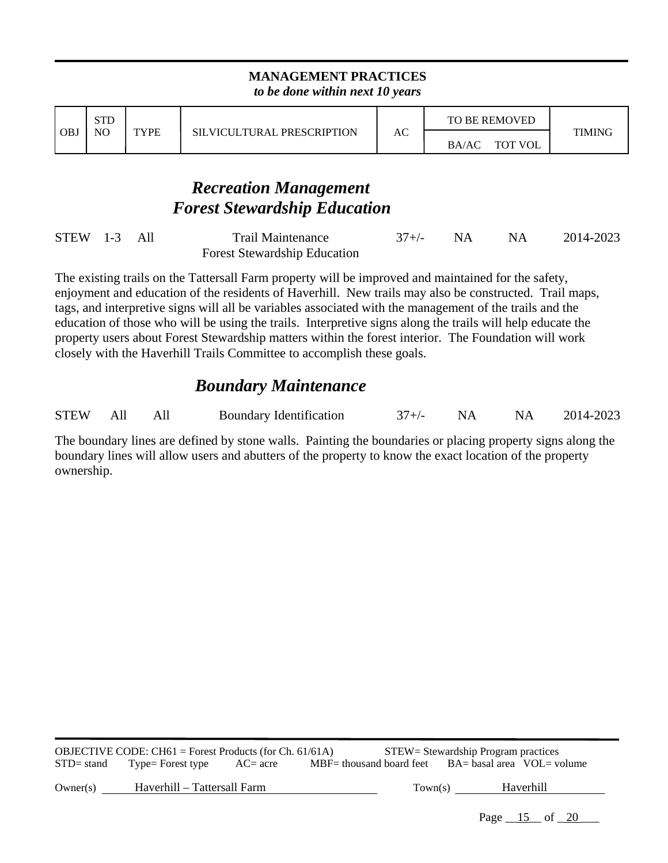#### **MANAGEMENT PRACTICES**  *to be done within next 10 years*

|       | <b>STD</b> |      |                            |                  | <b>TO BE REMOVED</b>           |               |
|-------|------------|------|----------------------------|------------------|--------------------------------|---------------|
| l OBJ | NO         | TYPE | SILVICULTURAL PRESCRIPTION | $\sqrt{2}$<br>АC | <b>TOT VOL</b><br><b>BA/AC</b> | <b>TIMING</b> |

# *Recreation Management Forest Stewardship Education*

| STEW 1-3 All |  | <b>Trail Maintenance</b>            | $37+/-$ | NA <sup>1</sup> | 2014-2023 |
|--------------|--|-------------------------------------|---------|-----------------|-----------|
|              |  | <b>Forest Stewardship Education</b> |         |                 |           |

The existing trails on the Tattersall Farm property will be improved and maintained for the safety, enjoyment and education of the residents of Haverhill. New trails may also be constructed. Trail maps, tags, and interpretive signs will all be variables associated with the management of the trails and the education of those who will be using the trails. Interpretive signs along the trails will help educate the property users about Forest Stewardship matters within the forest interior. The Foundation will work closely with the Haverhill Trails Committee to accomplish these goals.

# *Boundary Maintenance*

| STEW All All |  |  | <b>Boundary Identification</b> |  |  |  | $37 +/-$ NA NA $2014 - 2023$ |
|--------------|--|--|--------------------------------|--|--|--|------------------------------|
|--------------|--|--|--------------------------------|--|--|--|------------------------------|

The boundary lines are defined by stone walls. Painting the boundaries or placing property signs along the boundary lines will allow users and abutters of the property to know the exact location of the property ownership.

|               | OBJECTIVE CODE: CH61 = Forest Products (for Ch. $61/61$ A) |             |                            |         | STEW= Stewardship Program practices |                            |
|---------------|------------------------------------------------------------|-------------|----------------------------|---------|-------------------------------------|----------------------------|
| $STD = stand$ | Type= Forest type                                          | $AC = acre$ | $MBF=$ thousand board feet |         |                                     | BA= basal area VOL= volume |
| Owner(s)      | Haverhill – Tattersall Farm                                |             |                            | Town(s) |                                     | Haverhill                  |

Page  $\_15$  of  $\_20$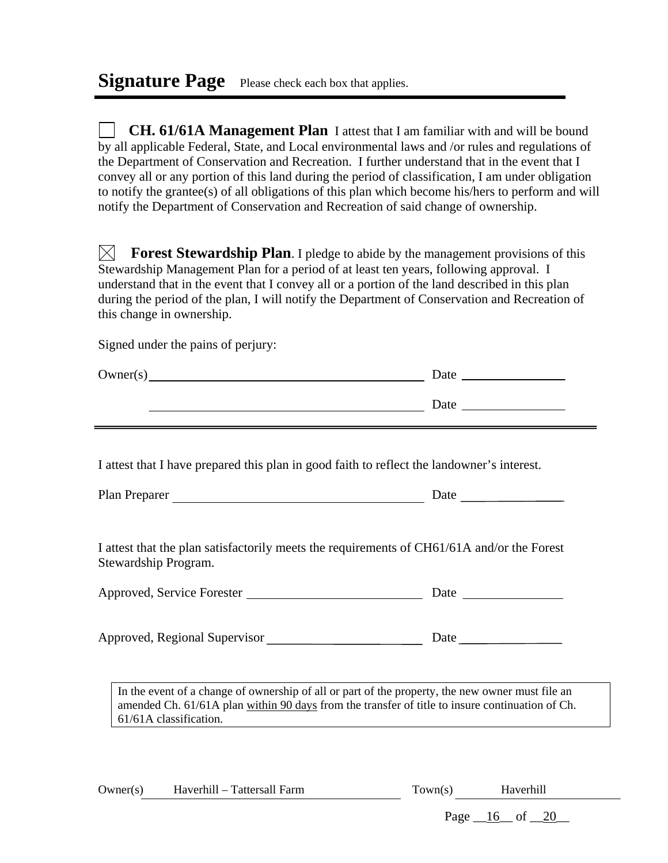**CH. 61/61A Management Plan** I attest that I am familiar with and will be bound by all applicable Federal, State, and Local environmental laws and /or rules and regulations of the Department of Conservation and Recreation. I further understand that in the event that I convey all or any portion of this land during the period of classification, I am under obligation to notify the grantee(s) of all obligations of this plan which become his/hers to perform and will notify the Department of Conservation and Recreation of said change of ownership.

**Forest Stewardship Plan.** I pledge to abide by the management provisions of this Stewardship Management Plan for a period of at least ten years, following approval. I understand that in the event that I convey all or a portion of the land described in this plan during the period of the plan, I will notify the Department of Conservation and Recreation of this change in ownership.

Signed under the pains of perjury:

| $0$ wner(s) Date $\frac{1}{2}$                                                                                                                                                                                                |  |  |  |
|-------------------------------------------------------------------------------------------------------------------------------------------------------------------------------------------------------------------------------|--|--|--|
|                                                                                                                                                                                                                               |  |  |  |
|                                                                                                                                                                                                                               |  |  |  |
| I attest that I have prepared this plan in good faith to reflect the landowner's interest.                                                                                                                                    |  |  |  |
|                                                                                                                                                                                                                               |  |  |  |
| I attest that the plan satisfactorily meets the requirements of CH61/61A and/or the Forest<br>Stewardship Program.                                                                                                            |  |  |  |
|                                                                                                                                                                                                                               |  |  |  |
|                                                                                                                                                                                                                               |  |  |  |
| In the event of a change of ownership of all or part of the property, the new owner must file an<br>amended Ch. 61/61A plan within 90 days from the transfer of title to insure continuation of Ch.<br>61/61A classification. |  |  |  |

| Owner(s) | Haverhill – Tattersall Farm | Town(s) | Haverhill |
|----------|-----------------------------|---------|-----------|
|----------|-----------------------------|---------|-----------|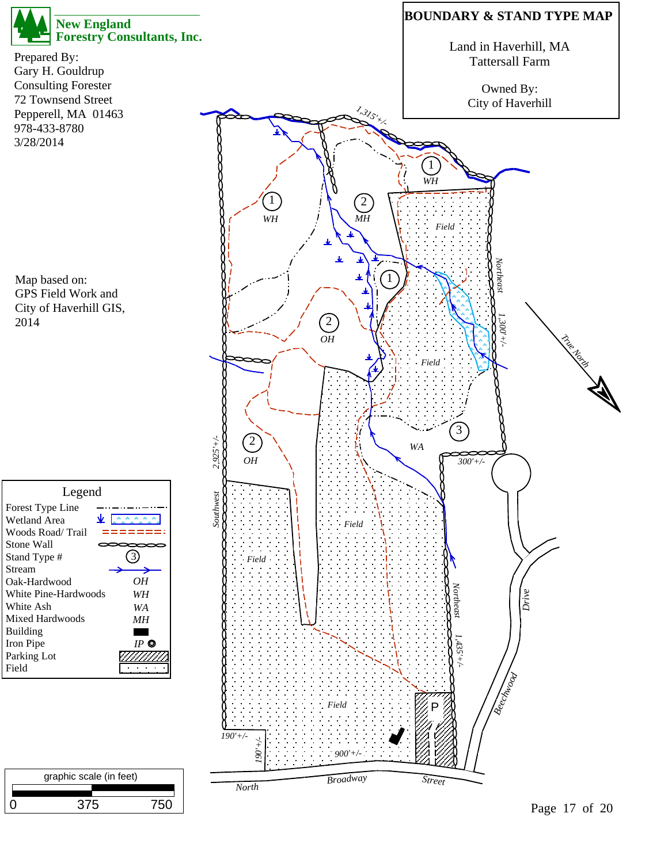

Prepared By: Gary H. Gouldrup Consulting Forester 72 Townsend Street Pepperell, MA 01463 978-433-8780 3/28/2014

Map based on: GPS Field Work and City of Haverhill GIS, 2014

| Legend               |                 |  |
|----------------------|-----------------|--|
| Forest Type Line     |                 |  |
| Wetland Area         | 业<br>Control of |  |
| Woods Road/Trail     |                 |  |
| Stone Wall           |                 |  |
| Stand Type #         |                 |  |
| Stream               |                 |  |
| Oak-Hardwood         | OН              |  |
| White Pine-Hardwoods | WH              |  |
| White Ash            | WA              |  |
| Mixed Hardwoods      | MН              |  |
| <b>Building</b>      |                 |  |
| Iron Pipe            | IP Q            |  |
| Parking Lot          |                 |  |
| Field                |                 |  |



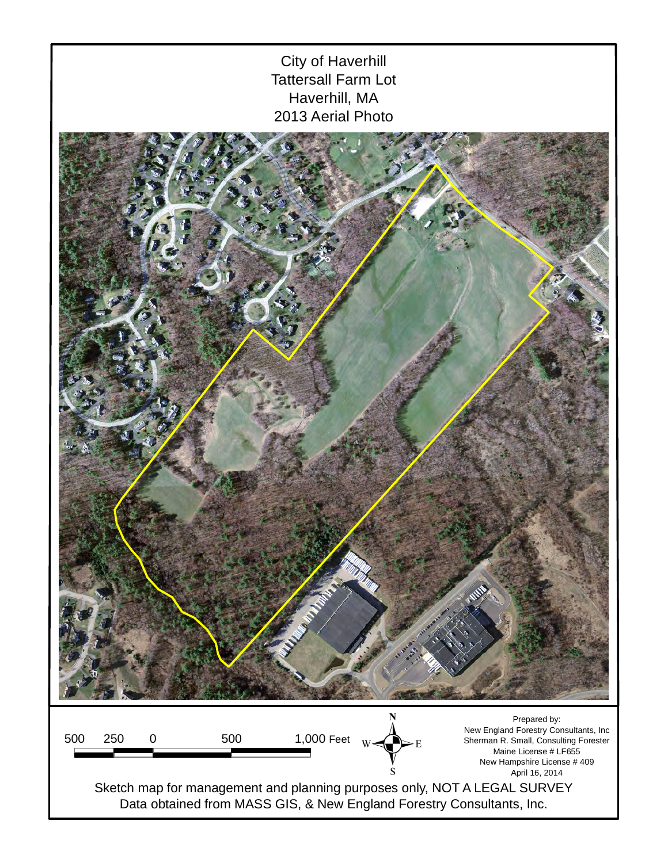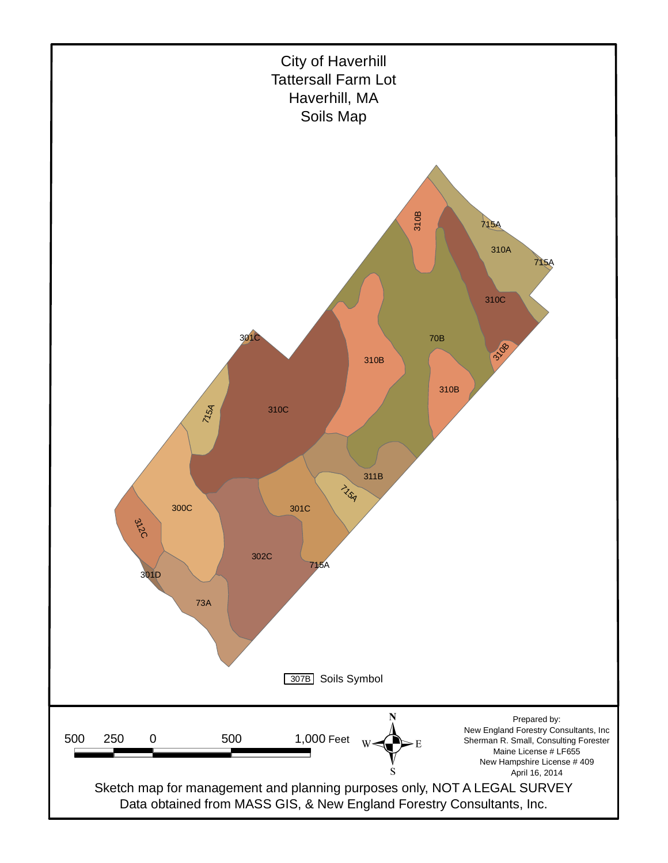